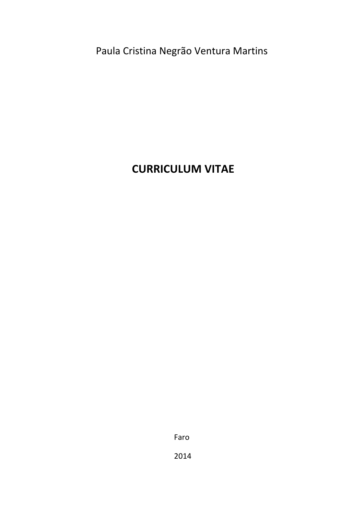# Paula Cristina Negrão Ventura Martins

# **CURRICULUM VITAE**

Faro 

2014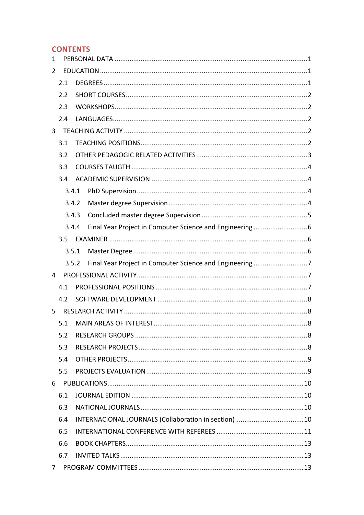# **CONTENTS**

| $\mathbf{1}$ |       |  |  |  |
|--------------|-------|--|--|--|
| 2            |       |  |  |  |
|              | 2.1   |  |  |  |
|              | 2.2   |  |  |  |
|              | 2.3   |  |  |  |
|              | 2.4   |  |  |  |
| 3            |       |  |  |  |
|              | 3.1   |  |  |  |
|              | 3.2   |  |  |  |
|              | 3.3   |  |  |  |
|              | 3.4   |  |  |  |
|              | 3.4.1 |  |  |  |
|              | 3.4.2 |  |  |  |
|              | 3.4.3 |  |  |  |
|              | 3.4.4 |  |  |  |
|              | 3.5   |  |  |  |
|              | 3.5.1 |  |  |  |
|              | 3.5.2 |  |  |  |
| 4            |       |  |  |  |
|              | 4.1   |  |  |  |
|              | 4.2   |  |  |  |
| 5.           |       |  |  |  |
|              | 5.1   |  |  |  |
|              | 5.2   |  |  |  |
|              | 5.3   |  |  |  |
|              | 5.4   |  |  |  |
|              | 5.5   |  |  |  |
| 6            |       |  |  |  |
|              | 6.1   |  |  |  |
|              | 6.3   |  |  |  |
|              | 6.4   |  |  |  |
|              | 6.5   |  |  |  |
|              | 6.6   |  |  |  |
|              | 6.7   |  |  |  |
|              |       |  |  |  |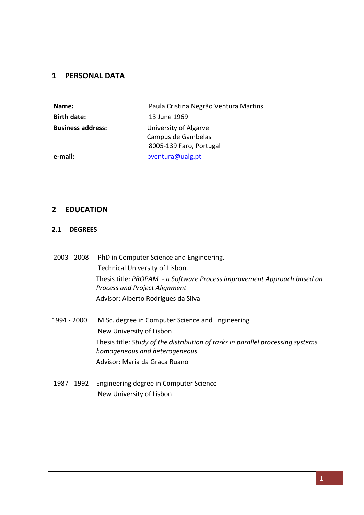# **1 PERSONAL DATA**

| Name:                    | Paula Cristina Negrão Ventura Martins                                  |
|--------------------------|------------------------------------------------------------------------|
| <b>Birth date:</b>       | 13 June 1969                                                           |
| <b>Business address:</b> | University of Algarve<br>Campus de Gambelas<br>8005-139 Faro, Portugal |
| e-mail:                  | pventura@ualg.pt                                                       |

# **2 EDUCATION**

#### **2.1 DEGREES**

| $2003 - 2008$ | PhD in Computer Science and Engineering.                                                                         |
|---------------|------------------------------------------------------------------------------------------------------------------|
|               | Technical University of Lisbon.                                                                                  |
|               | Thesis title: PROPAM - a Software Process Improvement Approach based on<br><b>Process and Project Alignment</b>  |
|               | Advisor: Alberto Rodrigues da Silva                                                                              |
| 1994 - 2000   | M.Sc. degree in Computer Science and Engineering                                                                 |
|               | New University of Lisbon                                                                                         |
|               | Thesis title: Study of the distribution of tasks in parallel processing systems<br>homogeneous and heterogeneous |
|               | Advisor: Maria da Graça Ruano                                                                                    |
| 1987 - 1992   | Engineering degree in Computer Science                                                                           |
|               | New University of Lisbon                                                                                         |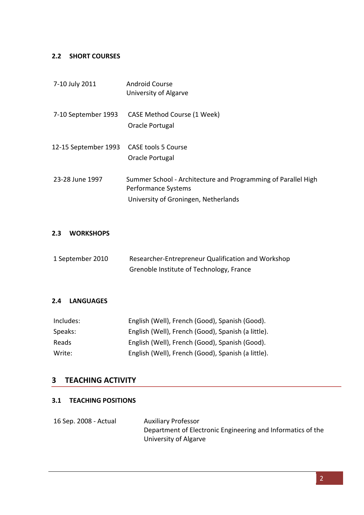#### **2.2 SHORT COURSES**

| 7-10 July 2011                           | <b>Android Course</b><br>University of Algarve                                                                               |
|------------------------------------------|------------------------------------------------------------------------------------------------------------------------------|
| 7-10 September 1993                      | CASE Method Course (1 Week)<br>Oracle Portugal                                                                               |
| 12-15 September 1993 CASE tools 5 Course | Oracle Portugal                                                                                                              |
| 23-28 June 1997                          | Summer School - Architecture and Programming of Parallel High<br>Performance Systems<br>University of Groningen, Netherlands |

# **2.3 WORKSHOPS**

| 1 September 2010 | Researcher-Entrepreneur Qualification and Workshop |
|------------------|----------------------------------------------------|
|                  | Grenoble Institute of Technology, France           |

#### **2.4 LANGUAGES**

| Includes: | English (Well), French (Good), Spanish (Good).     |
|-----------|----------------------------------------------------|
| Speaks:   | English (Well), French (Good), Spanish (a little). |
| Reads     | English (Well), French (Good), Spanish (Good).     |
| Write:    | English (Well), French (Good), Spanish (a little). |

# **3 TEACHING ACTIVITY**

## **3.1 TEACHING POSITIONS**

| 16 Sep. 2008 - Actual | <b>Auxiliary Professor</b>                                  |
|-----------------------|-------------------------------------------------------------|
|                       | Department of Electronic Engineering and Informatics of the |
|                       | University of Algarve                                       |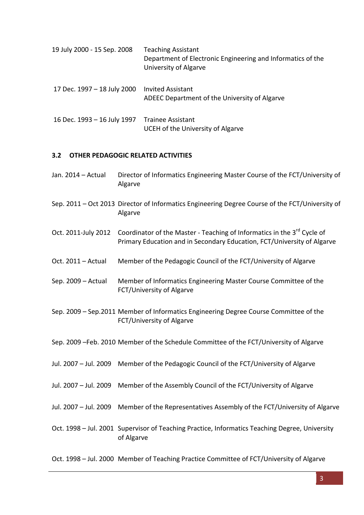| 19 July 2000 - 15 Sep. 2008                   | <b>Teaching Assistant</b><br>Department of Electronic Engineering and Informatics of the<br>University of Algarve |
|-----------------------------------------------|-------------------------------------------------------------------------------------------------------------------|
| 17 Dec. 1997 - 18 July 2000 Invited Assistant |                                                                                                                   |

- ADEEC Department of the University of Algarve
- 16 Dec. 1993 16 July 1997 Trainee Assistant UCEH of the University of Algarve

#### **3.2 OTHER PEDAGOGIC RELATED ACTIVITIES**

- Jan. 2014 Actual Director of Informatics Engineering Master Course of the FCT/University of Algarve
- Sep. 2011 Oct 2013 Director of Informatics Engineering Degree Course of the FCT/University of Algarve
- Oct. 2011-July 2012 Coordinator of the Master Teaching of Informatics in the 3<sup>rd</sup> Cycle of Primary Education and in Secondary Education, FCT/University of Algarve
- Oct. 2011 Actual Member of the Pedagogic Council of the FCT/University of Algarve
- Sep. 2009 Actual Member of Informatics Engineering Master Course Committee of the FCT/University of Algarve
- Sep. 2009 Sep.2011 Member of Informatics Engineering Degree Course Committee of the FCT/University of Algarve
- Sep. 2009 -Feb. 2010 Member of the Schedule Committee of the FCT/University of Algarve
- Jul. 2007 Jul. 2009 Member of the Pedagogic Council of the FCT/University of Algarve
- Jul. 2007 Jul. 2009 Member of the Assembly Council of the FCT/University of Algarve
- Jul. 2007 Jul. 2009 Member of the Representatives Assembly of the FCT/University of Algarve
- Oct. 1998 Jul. 2001 Supervisor of Teaching Practice, Informatics Teaching Degree, University of Algarve

Oct. 1998 - Jul. 2000 Member of Teaching Practice Committee of FCT/University of Algarve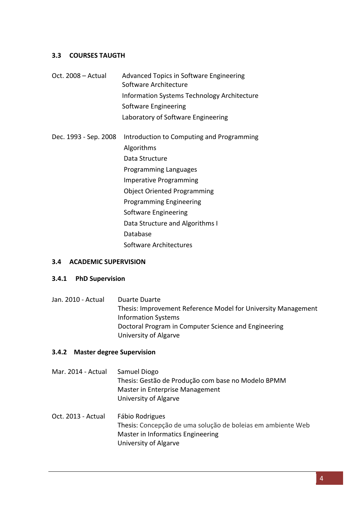#### **3.3 COURSES TAUGTH**

Oct. 2008 - Actual Advanced Topics in Software Engineering Software Architecture Information Systems Technology Architecture Software Engineering Laboratory of Software Engineering Dec. 1993 - Sep. 2008 Introduction to Computing and Programming Algorithms Data Structure Programming Languages Imperative Programming Object Oriented Programming

Programming Engineering Software Engineering Data Structure and Algorithms I Database

Software Architectures 

#### **3.4 ACADEMIC SUPERVISION**

#### **3.4.1 PhD Supervision**

Jan. 2010 - Actual Duarte Duarte Thesis: Improvement Reference Model for University Management Information Systems Doctoral Program in Computer Science and Engineering University of Algarve 

#### **3.4.2** Master degree Supervision

- Mar. 2014 Actual Samuel Diogo Thesis: Gestão de Produção com base no Modelo BPMM Master in Enterprise Management University of Algarve
- Oct. 2013 Actual Fábio Rodrigues Thesis: Concepção de uma solução de boleias em ambiente Web Master in Informatics Engineering University of Algarve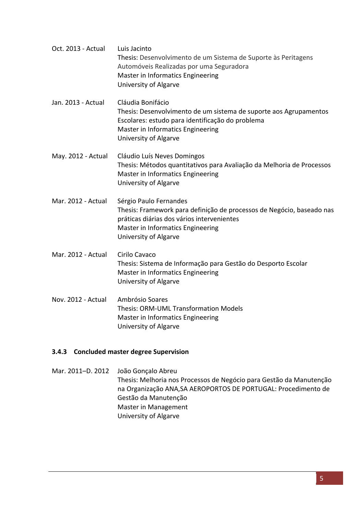| Oct. 2013 - Actual | Luis Jacinto<br>Thesis: Desenvolvimento de um Sistema de Suporte às Peritagens<br>Automóveis Realizadas por uma Seguradora<br>Master in Informatics Engineering<br>University of Algarve                    |
|--------------------|-------------------------------------------------------------------------------------------------------------------------------------------------------------------------------------------------------------|
| Jan. 2013 - Actual | Cláudia Bonifácio<br>Thesis: Desenvolvimento de um sistema de suporte aos Agrupamentos<br>Escolares: estudo para identificação do problema<br>Master in Informatics Engineering<br>University of Algarve    |
| May. 2012 - Actual | Cláudio Luís Neves Domingos<br>Thesis: Métodos quantitativos para Avaliação da Melhoria de Processos<br>Master in Informatics Engineering<br>University of Algarve                                          |
| Mar. 2012 - Actual | Sérgio Paulo Fernandes<br>Thesis: Framework para definição de processos de Negócio, baseado nas<br>práticas diárias dos vários intervenientes<br>Master in Informatics Engineering<br>University of Algarve |
| Mar. 2012 - Actual | Cirilo Cavaco<br>Thesis: Sistema de Informação para Gestão do Desporto Escolar<br>Master in Informatics Engineering<br>University of Algarve                                                                |
| Nov. 2012 - Actual | Ambrósio Soares<br><b>Thesis: ORM-UML Transformation Models</b><br>Master in Informatics Engineering<br>University of Algarve                                                                               |

## **3.4.3** Concluded master degree Supervision

Mar. 2011–D. 2012 João Gonçalo Abreu Thesis: Melhoria nos Processos de Negócio para Gestão da Manutenção na Organização ANA, SA AEROPORTOS DE PORTUGAL: Procedimento de Gestão da Manutenção Master in Management University of Algarve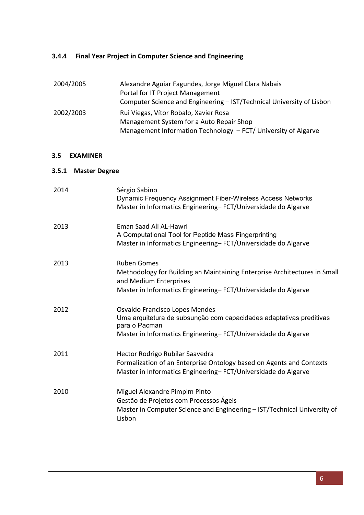## **3.4.4** Final Year Project in Computer Science and Engineering

| 2004/2005 | Alexandre Aguiar Fagundes, Jorge Miguel Clara Nabais                  |
|-----------|-----------------------------------------------------------------------|
|           | Portal for IT Project Management                                      |
|           | Computer Science and Engineering - IST/Technical University of Lisbon |
| 2002/2003 | Rui Viegas, Vítor Robalo, Xavier Rosa                                 |
|           | Management System for a Auto Repair Shop                              |
|           | Management Information Technology - FCT/ University of Algarve        |

#### **3.5 EXAMINER**

#### **3.5.1 Master Degree**

| 2014 | Sérgio Sabino<br>Dynamic Frequency Assignment Fiber-Wireless Access Networks<br>Master in Informatics Engineering-FCT/Universidade do Algarve                                              |
|------|--------------------------------------------------------------------------------------------------------------------------------------------------------------------------------------------|
| 2013 | Eman Saad Ali AL-Hawri<br>A Computational Tool for Peptide Mass Fingerprinting<br>Master in Informatics Engineering-FCT/Universidade do Algarve                                            |
| 2013 | <b>Ruben Gomes</b><br>Methodology for Building an Maintaining Enterprise Architectures in Small<br>and Medium Enterprises<br>Master in Informatics Engineering-FCT/Universidade do Algarve |
| 2012 | Osvaldo Francisco Lopes Mendes<br>Uma arquitetura de subsunção com capacidades adaptativas preditivas<br>para o Pacman<br>Master in Informatics Engineering-FCT/Universidade do Algarve    |
| 2011 | Hector Rodrigo Rubilar Saavedra<br>Formalization of an Enterprise Ontology based on Agents and Contexts<br>Master in Informatics Engineering-FCT/Universidade do Algarve                   |
| 2010 | Miguel Alexandre Pimpim Pinto<br>Gestão de Projetos com Processos Ágeis<br>Master in Computer Science and Engineering - IST/Technical University of<br>Lisbon                              |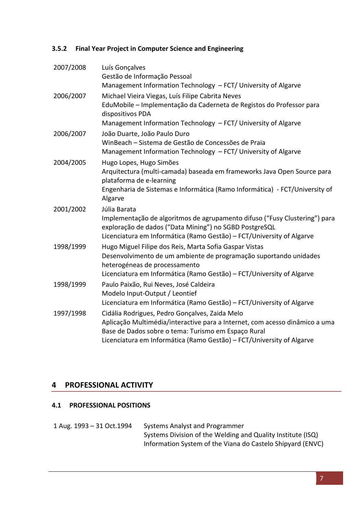## **3.5.2** Final Year Project in Computer Science and Engineering

| 2007/2008 | Luís Gonçalves                                                                                                                       |
|-----------|--------------------------------------------------------------------------------------------------------------------------------------|
|           | Gestão de Informação Pessoal                                                                                                         |
|           | Management Information Technology - FCT/ University of Algarve                                                                       |
| 2006/2007 | Michael Vieira Viegas, Luís Filipe Cabrita Neves                                                                                     |
|           | EduMobile - Implementação da Caderneta de Registos do Professor para<br>dispositivos PDA                                             |
|           | Management Information Technology - FCT/ University of Algarve                                                                       |
| 2006/2007 | João Duarte, João Paulo Duro                                                                                                         |
|           | WinBeach - Sistema de Gestão de Concessões de Praia                                                                                  |
|           | Management Information Technology - FCT/ University of Algarve                                                                       |
| 2004/2005 | Hugo Lopes, Hugo Simões                                                                                                              |
|           | Arquitectura (multi-camada) baseada em frameworks Java Open Source para<br>plataforma de e-learning                                  |
|           | Engenharia de Sistemas e Informática (Ramo Informática) - FCT/University of<br>Algarve                                               |
| 2001/2002 | Júlia Barata                                                                                                                         |
|           | Implementação de algoritmos de agrupamento difuso ("Fusy Clustering") para<br>exploração de dados ("Data Mining") no SGBD PostgreSQL |
|           | Licenciatura em Informática (Ramo Gestão) - FCT/University of Algarve                                                                |
| 1998/1999 | Hugo Miguel Filipe dos Reis, Marta Sofia Gaspar Vistas                                                                               |
|           | Desenvolvimento de um ambiente de programação suportando unidades<br>heterogéneas de processamento                                   |
|           | Licenciatura em Informática (Ramo Gestão) - FCT/University of Algarve                                                                |
| 1998/1999 | Paulo Paixão, Rui Neves, José Caldeira                                                                                               |
|           | Modelo Input-Output / Leontief                                                                                                       |
|           | Licenciatura em Informática (Ramo Gestão) - FCT/University of Algarve                                                                |
| 1997/1998 | Cidália Rodrigues, Pedro Gonçalves, Zaida Melo                                                                                       |
|           | Aplicação Multimédia/interactive para a Internet, com acesso dinâmico a uma<br>Base de Dados sobre o tema: Turismo em Espaço Rural   |
|           | Licenciatura em Informática (Ramo Gestão) - FCT/University of Algarve                                                                |

# **4 PROFESSIONAL ACTIVITY**

#### **4.1 PROFESSIONAL POSITIONS**

1 Aug. 1993 - 31 Oct.1994 Systems Analyst and Programmer Systems Division of the Welding and Quality Institute (ISQ) Information System of the Viana do Castelo Shipyard (ENVC)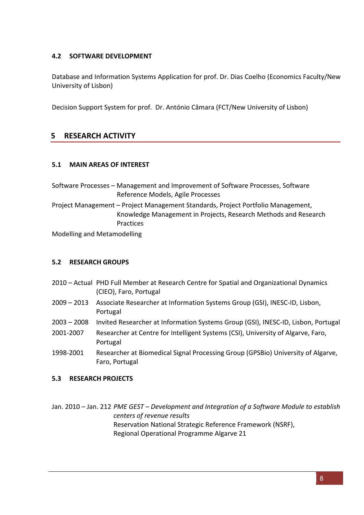### **4.2 SOFTWARE DEVELOPMENT**

Database and Information Systems Application for prof. Dr. Dias Coelho (Economics Faculty/New University of Lisbon)

Decision Support System for prof. Dr. António Câmara (FCT/New University of Lisbon)

# **5 RESEARCH ACTIVITY**

#### **5.1 MAIN AREAS OF INTEREST**

Software Processes - Management and Improvement of Software Processes, Software Reference Models, Agile Processes

Project Management – Project Management Standards, Project Portfolio Management, Knowledge Management in Projects, Research Methods and Research Practices

Modelling and Metamodelling

#### **5.2 RESEARCH GROUPS**

- 2010 Actual PHD Full Member at Research Centre for Spatial and Organizational Dynamics (CIEO), Faro, Portugal
- 2009 2013 Associate Researcher at Information Systems Group (GSI), INESC-ID, Lisbon, Portugal
- 2003 2008 Invited Researcher at Information Systems Group (GSI), INESC-ID, Lisbon, Portugal
- 2001-2007 Researcher at Centre for Intelligent Systems (CSI), University of Algarve, Faro, Portugal
- 1998-2001 Researcher at Biomedical Signal Processing Group (GPSBio) University of Algarve, Faro, Portugal

#### **5.3 RESEARCH PROJECTS**

Jan. 2010 – Jan. 212 *PME GEST – Development and Integration of a Software Module to establish centers of revenue results* Reservation National Strategic Reference Framework (NSRF), Regional Operational Programme Algarve 21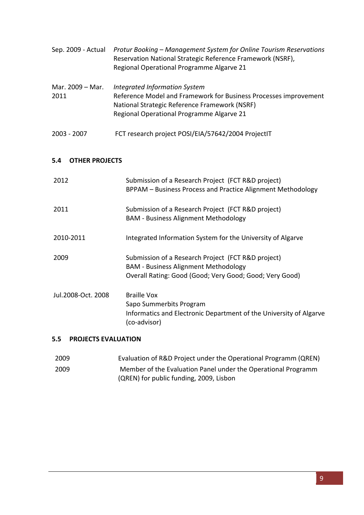| Sep. 2009 - Actual       | Protur Booking - Management System for Online Tourism Reservations<br>Reservation National Strategic Reference Framework (NSRF),<br>Regional Operational Programme Algarve 21                   |
|--------------------------|-------------------------------------------------------------------------------------------------------------------------------------------------------------------------------------------------|
| Mar. 2009 – Mar.<br>2011 | Integrated Information System<br>Reference Model and Framework for Business Processes improvement<br>National Strategic Reference Framework (NSRF)<br>Regional Operational Programme Algarve 21 |
| 2003 - 2007              | FCT research project POSI/EIA/57642/2004 ProjectIT                                                                                                                                              |

#### **5.4 OTHER PROJECTS**

| 2012               | Submission of a Research Project (FCT R&D project)<br>BPPAM - Business Process and Practice Alignment Methodology                                            |
|--------------------|--------------------------------------------------------------------------------------------------------------------------------------------------------------|
| 2011               | Submission of a Research Project (FCT R&D project)<br><b>BAM - Business Alignment Methodology</b>                                                            |
| 2010-2011          | Integrated Information System for the University of Algarve                                                                                                  |
| 2009               | Submission of a Research Project (FCT R&D project)<br><b>BAM - Business Alignment Methodology</b><br>Overall Rating: Good (Good; Very Good; Good; Very Good) |
| Jul.2008-Oct. 2008 | <b>Braille Vox</b><br>Sapo Summerbits Program<br>Informatics and Electronic Department of the University of Algarve<br>(co-advisor)                          |

### **5.5 PROJECTS EVALUATION**

| 2009 | Evaluation of R&D Project under the Operational Programm (QREN) |
|------|-----------------------------------------------------------------|
| 2009 | Member of the Evaluation Panel under the Operational Programm   |
|      | (QREN) for public funding, 2009, Lisbon                         |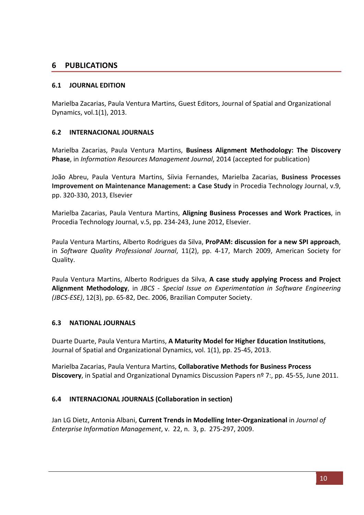## **6 PUBLICATIONS**

#### **6.1 JOURNAL EDITION**

Marielba Zacarias, Paula Ventura Martins, Guest Editors, Journal of Spatial and Organizational Dynamics, vol.1(1), 2013.

#### **6.2 INTERNACIONAL JOURNALS**

Marielba Zacarias, Paula Ventura Martins, Business Alignment Methodology: The Discovery **Phase**, in *Information Resources Management Journal*, 2014 (accepted for publication)

João Abreu, Paula Ventura Martins, Síivia Fernandes, Marielba Zacarias, Business Processes **Improvement on Maintenance Management: a Case Study** in Procedia Technology Journal, v.9, pp. 320-330, 2013, Elsevier

Marielba Zacarias, Paula Ventura Martins, Aligning Business Processes and Work Practices, in Procedia Technology Journal, v.5, pp. 234-243, June 2012, Elsevier.

Paula Ventura Martins, Alberto Rodrigues da Silva, ProPAM: discussion for a new SPI approach, in Software Quality Professional Journal, 11(2), pp. 4-17, March 2009, American Society for Quality.

Paula Ventura Martins, Alberto Rodrigues da Silva, **A case study applying Process and Project Alignment Methodology**, in *JBCS* - Special Issue on Experimentation in Software Engineering *(JBCS-ESE)*, 12(3), pp. 65-82, Dec. 2006, Brazilian Computer Society.

#### **6.3 NATIONAL JOURNALS**

Duarte Duarte, Paula Ventura Martins, **A Maturity Model for Higher Education Institutions**, Journal of Spatial and Organizational Dynamics, vol. 1(1), pp. 25-45, 2013.

Marielba Zacarias, Paula Ventura Martins, **Collaborative Methods for Business Process Discovery**, in Spatial and Organizational Dynamics Discussion Papers nº 7:, pp. 45-55, June 2011.

#### **6.4 INTERNACIONAL JOURNALS** (Collaboration in section)

Jan LG Dietz, Antonia Albani, **Current Trends in Modelling Inter-Organizational** in *Journal of Enterprise Information Management*, v. 22, n. 3, p. 275-297, 2009.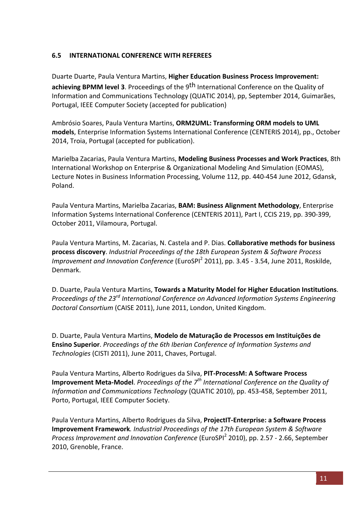### **6.5 INTERNATIONAL CONFERENCE WITH REFEREES**

Duarte Duarte, Paula Ventura Martins, Higher Education Business Process Improvement: **achieving BPMM level 3**. Proceedings of the 9<sup>th</sup> International Conference on the Quality of Information and Communications Technology (QUATIC 2014), pp, September 2014, Guimarães, Portugal, IEEE Computer Society (accepted for publication)

Ambrósio Soares, Paula Ventura Martins, ORM2UML: Transforming ORM models to UML **models**, Enterprise Information Systems International Conference (CENTERIS 2014), pp., October 2014, Troia, Portugal (accepted for publication).

Marielba Zacarias, Paula Ventura Martins, Modeling Business Processes and Work Practices, 8th International Workshop on Enterprise & Organizational Modeling And Simulation (EOMAS), Lecture Notes in Business Information Processing, Volume 112, pp. 440-454 June 2012, Gdansk, Poland.

Paula Ventura Martins, Marielba Zacarias, **BAM: Business Alignment Methodology**, Enterprise Information Systems International Conference (CENTERIS 2011), Part I, CCIS 219, pp. 390-399, October 2011, Vilamoura, Portugal.

Paula Ventura Martins, M. Zacarias, N. Castela and P. Dias. **Collaborative methods for business** process discovery. *Industrial Proceedings of the 18th European System & Software Process Improvement and Innovation Conference* (EuroSPI<sup>2</sup> 2011), pp. 3.45 - 3.54, June 2011, Roskilde, Denmark.

D. Duarte, Paula Ventura Martins, Towards a Maturity Model for Higher Education Institutions. *Proceedings of the 23<sup>rd</sup> International Conference on Advanced Information Systems Engineering* Doctoral Consortium (CAISE 2011), June 2011, London, United Kingdom.

D. Duarte, Paula Ventura Martins, Modelo de Maturação de Processos em Instituições de **Ensino Superior**. *Proceedings of the 6th Iberian Conference of Information Systems and* Technologies (CISTI 2011), June 2011, Chaves, Portugal.

Paula Ventura Martins, Alberto Rodrigues da Silva, PIT-ProcessM: A Software Process **Improvement Meta-Model**. *Proceedings of the*  $7<sup>th</sup>$  *International Conference on the Quality of Information and Communications Technology* (QUATIC 2010), pp. 453-458, September 2011, Porto, Portugal, IEEE Computer Society.

Paula Ventura Martins, Alberto Rodrigues da Silva, ProjectIT-Enterprise: a Software Process **Improvement Framework***. Industrial Proceedings of the 17th European System & Software Process Improvement and Innovation Conference* (EuroSPI<sup>2</sup> 2010), pp. 2.57 - 2.66, September 2010, Grenoble, France.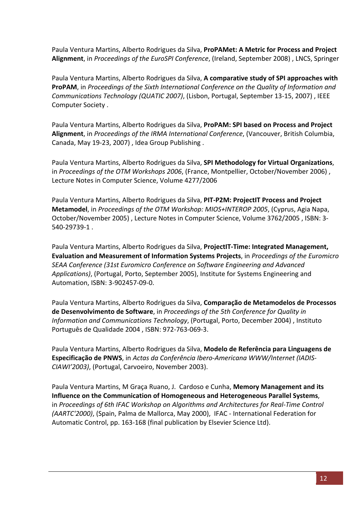Paula Ventura Martins, Alberto Rodrigues da Silva, ProPAMet: A Metric for Process and Project Alignment, in *Proceedings of the EuroSPI Conference*, (Ireland, September 2008), LNCS, Springer

Paula Ventura Martins, Alberto Rodrigues da Silva, **A comparative study of SPI approaches with ProPAM**, in Proceedings of the Sixth International Conference on the Quality of Information and *Communications Technology (QUATIC 2007)*, (Lisbon, Portugal, September 13-15, 2007), IEEE Computer Society .

Paula Ventura Martins, Alberto Rodrigues da Silva, ProPAM: SPI based on Process and Project Alignment, in *Proceedings of the IRMA International Conference*, (Vancouver, British Columbia, Canada, May 19-23, 2007), Idea Group Publishing.

Paula Ventura Martins, Alberto Rodrigues da Silva, **SPI Methodology for Virtual Organizations**, in *Proceedings of the OTM Workshops 2006*, (France, Montpellier, October/November 2006), Lecture Notes in Computer Science, Volume 4277/2006

Paula Ventura Martins, Alberto Rodrigues da Silva, PIT-P2M: ProjectIT Process and Project **Metamodel**, in *Proceedings of the OTM Workshop: MIOS+INTEROP 2005*, (Cyprus, Agia Napa, October/November 2005) , Lecture Notes in Computer Science, Volume 3762/2005 , ISBN: 3-540-29739-1.

Paula Ventura Martins, Alberto Rodrigues da Silva, **ProjectIT-Time: Integrated Management, Evaluation and Measurement of Information Systems Projects**, in *Proceedings of the Euromicro* **SEAA Conference (31st Euromicro Conference on Software Engineering and Advanced** Applications), (Portugal, Porto, September 2005), Institute for Systems Engineering and Automation, ISBN: 3-902457-09-0.

Paula Ventura Martins, Alberto Rodrigues da Silva, Comparação de Metamodelos de Processos de Desenvolvimento de Software, in Proceedings of the 5th Conference for Quality in *Information and Communications Technology*, (Portugal, Porto, December 2004), Instituto Português de Qualidade 2004, ISBN: 972-763-069-3.

Paula Ventura Martins, Alberto Rodrigues da Silva, Modelo de Referência para Linguagens de Especificação de PNWS, in *Actas da Conferência Ibero-Americana WWW/Internet (IADIS-*CIAWI'2003), (Portugal, Carvoeiro, November 2003).

Paula Ventura Martins, M Graça Ruano, J. Cardoso e Cunha, Memory Management and its **Influence on the Communication of Homogeneous and Heterogeneous Parallel Systems,** in *Proceedings of 6th IFAC Workshop on Algorithms and Architectures for Real-Time Control (AARTC'2000)*, *(Spain, Palma de Mallorca, May 2000)*, IFAC - International Federation for Automatic Control, pp. 163-168 (final publication by Elsevier Science Ltd).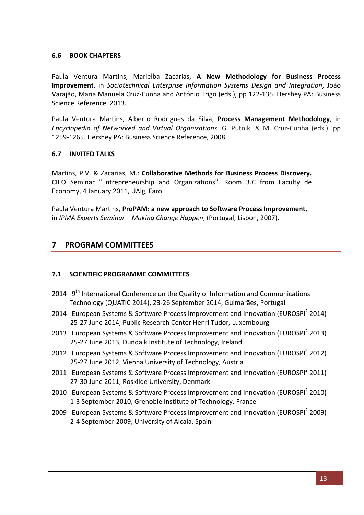#### **6.6 BOOK CHAPTERS**

Paula Ventura Martins, Marielba Zacarias, A New Methodology for Business Process **Improvement**, in *Sociotechnical Enterprise Information Systems Design and Integration*, João Varajão, Maria Manuela Cruz-Cunha and António Trigo (eds.), pp 122-135. Hershey PA: Business Science Reference, 2013.

Paula Ventura Martins, Alberto Rodrigues da Silva, Process Management Methodology, in *Encyclopedia* of Networked and Virtual Organizations, G. Putnik, & M. Cruz-Cunha (eds.), pp 1259-1265. Hershey PA: Business Science Reference, 2008.

#### **6.7 INVITED TALKS**

Martins, P.V. & Zacarias, M.: **Collaborative Methods for Business Process Discovery.** CIEO Seminar "Entrepreneurship and Organizations". Room 3.C from Faculty de Economy, 4 January 2011, UAlg, Faro.

Paula Ventura Martins, ProPAM: a new approach to Software Process Improvement, in *IPMA Experts Seminar* – *Making Change Happen*, (Portugal, Lisbon, 2007).

## **7 PROGRAM COMMITTEES**

#### **7.1 SCIENTIFIC PROGRAMME COMMITTEES**

- 2014  $9<sup>th</sup>$  International Conference on the Quality of Information and Communications Technology (QUATIC 2014), 23-26 September 2014, Guimarães, Portugal
- 2014 European Systems & Software Process Improvement and Innovation (EUROSPI<sup>2</sup> 2014) 25-27 June 2014, Public Research Center Henri Tudor, Luxembourg
- 2013 European Systems & Software Process Improvement and Innovation (EUROSPI<sup>2</sup> 2013) 25-27 June 2013, Dundalk Institute of Technology, Ireland
- 2012 European Systems & Software Process Improvement and Innovation (EUROSPI<sup>2</sup> 2012) 25-27 June 2012, Vienna University of Technology, Austria
- 2011 European Systems & Software Process Improvement and Innovation (EUROSPI<sup>2</sup> 2011) 27-30 June 2011, Roskilde University, Denmark
- 2010 European Systems & Software Process Improvement and Innovation (EUROSPI<sup>2</sup> 2010) 1-3 September 2010, Grenoble Institute of Technology, France
- 2009 European Systems & Software Process Improvement and Innovation (EUROSPI<sup>2</sup> 2009) 2-4 September 2009, University of Alcala, Spain